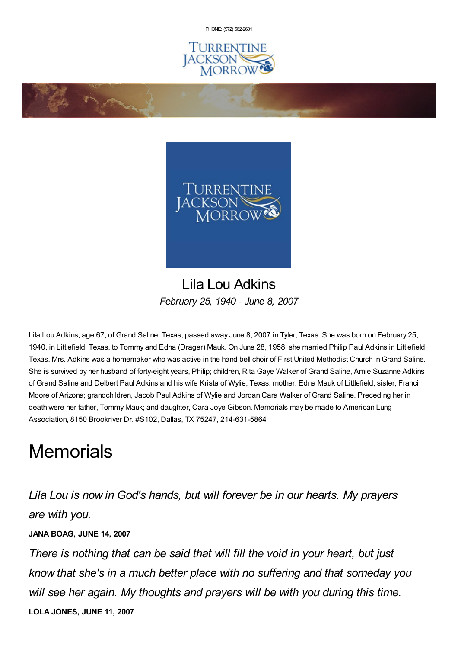PHONE: (972) [562-2601](tel:(972) 562-2601)





## Lila Lou Adkins *February 25, 1940 - June 8, 2007*

Lila Lou Adkins, age 67, of Grand Saline, Texas, passed away June 8, 2007 in Tyler, Texas. She was born on February 25, 1940, in Littlefield, Texas, to Tommy and Edna (Drager) Mauk. On June 28, 1958, she married Philip Paul Adkins in Littlefield, Texas. Mrs. Adkins was a homemaker who was active in the hand bell choir of First United Methodist Church inGrand Saline. She is survived by her husband of forty-eight years, Philip; children, Rita Gaye Walker of Grand Saline, Amie Suzanne Adkins of Grand Saline and Delbert Paul Adkins and his wife Krista of Wylie, Texas; mother, Edna Mauk of Littlefield; sister, Franci Moore of Arizona; grandchildren, Jacob Paul Adkins of Wylie and Jordan Cara Walker of Grand Saline. Preceding her in death were her father, Tommy Mauk; and daughter, Cara Joye Gibson. Memorials may be made to American Lung Association, 8150 Brookriver Dr. #S102, Dallas, TX 75247, 214-631-5864

## **Memorials**

*Lila Lou is now in God's hands, but will forever be in our hearts. My prayers are with you.*

## **JANA BOAG, JUNE 14, 2007**

*There is nothing that can be said that will fill the void in your heart, but just know that she's in a much better place with no suffering and that someday you will see her again. My thoughts and prayers will be with you during this time.* **LOLA JONES, JUNE 11, 2007**